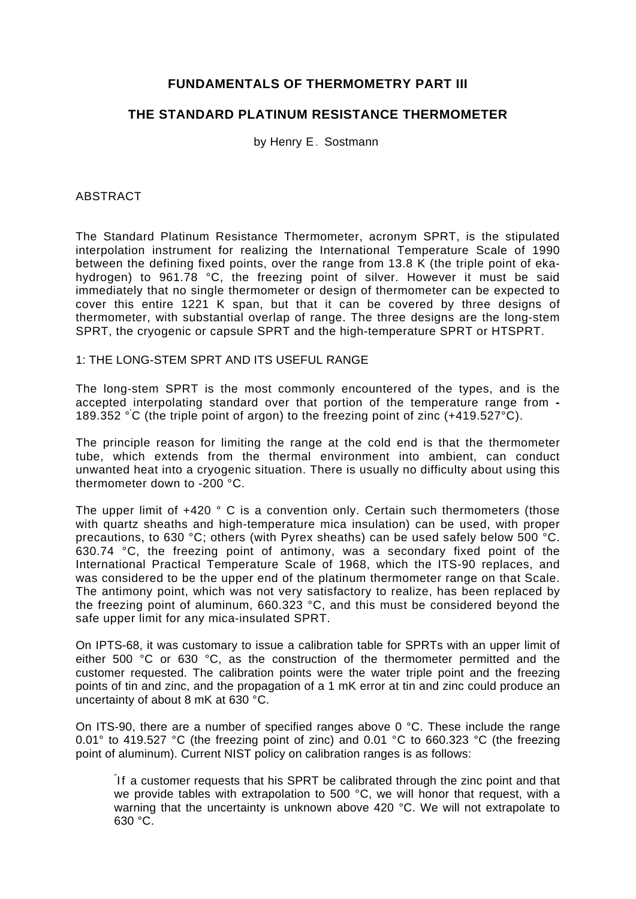# **FUNDAMENTALS OF THERMOMETRY PART III**

# **THE STANDARD PLATINUM RESISTANCE THERMOMETER**

by Henry E. Sostmann

## ABSTRACT

The Standard Platinum Resistance Thermometer, acronym SPRT, is the stipulated interpolation instrument for realizing the International Temperature Scale of 1990 between the defining fixed points, over the range from 13.8 K (the triple point of ekahydrogen) to 961.78 °C, the freezing point of silver. However it must be said immediately that no single thermometer or design of thermometer can be expected to cover this entire 1221 K span, but that it can be covered by three designs of thermometer, with substantial overlap of range. The three designs are the long-stem SPRT, the cryogenic or capsule SPRT and the high-temperature SPRT or HTSPRT.

#### 1: THE LONG-STEM SPRT AND ITS USEFUL RANGE

The long-stem SPRT is the most commonly encountered of the types, and is the accepted interpolating standard over that portion of the temperature range from **-** 189.352 ° ' C (the triple point of argon) to the freezing point of zinc (+419.527°C).

The principle reason for limiting the range at the cold end is that the thermometer tube, which extends from the thermal environment into ambient, can conduct unwanted heat into a cryogenic situation. There is usually no difficulty about using this thermometer down to -200 °C.

The upper limit of  $+420$   $\degree$  C is a convention only. Certain such thermometers (those with quartz sheaths and high-temperature mica insulation) can be used, with proper precautions, to 630 °C; others (with Pyrex sheaths) can be used safely below 500 °C. 630.74 °C, the freezing point of antimony, was a secondary fixed point of the International Practical Temperature Scale of 1968, which the ITS-90 replaces, and was considered to be the upper end of the platinum thermometer range on that Scale. The antimony point, which was not very satisfactory to realize, has been replaced by the freezing point of aluminum, 660.323 °C, and this must be considered beyond the safe upper limit for any mica-insulated SPRT.

On IPTS-68, it was customary to issue a calibration table for SPRTs with an upper limit of either 500 °C or 630 °C, as the construction of the thermometer permitted and the customer requested. The calibration points were the water triple point and the freezing points of tin and zinc, and the propagation of a 1 mK error at tin and zinc could produce an uncertainty of about 8 mK at 630 °C.

On ITS-90, there are a number of specified ranges above 0 °C. These include the range 0.01° to 419.527 °C (the freezing point of zinc) and 0.01 °C to 660.323 °C (the freezing point of aluminum). Current NIST policy on calibration ranges is as follows:

" If a customer requests that his SPRT be calibrated through the zinc point and that we provide tables with extrapolation to 500 °C, we will honor that request, with a warning that the uncertainty is unknown above 420 °C. We will not extrapolate to 630 °C.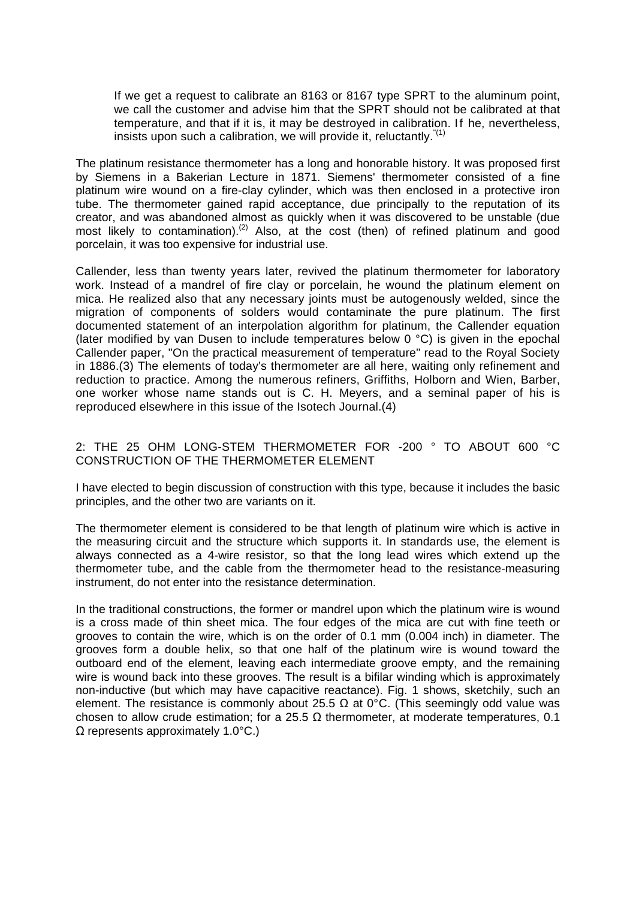If we get a request to calibrate an 8163 or 8167 type SPRT to the aluminum point, we call the customer and advise him that the SPRT should not be calibrated at that temperature, and that if it is, it may be destroyed in calibration. If he, nevertheless, insists upon such a calibration, we will provide it, reluctantly.  $(1)$ 

The platinum resistance thermometer has a long and honorable history. It was proposed first by Siemens in a Bakerian Lecture in 1871. Siemens' thermometer consisted of a fine platinum wire wound on a fire-clay cylinder, which was then enclosed in a protective iron tube. The thermometer gained rapid acceptance, due principally to the reputation of its creator, and was abandoned almost as quickly when it was discovered to be unstable (due most likely to contamination).<sup>(2)</sup> Also, at the cost (then) of refined platinum and good porcelain, it was too expensive for industrial use.

Callender, less than twenty years later, revived the platinum thermometer for laboratory work. Instead of a mandrel of fire clay or porcelain, he wound the platinum element on mica. He realized also that any necessary joints must be autogenously welded, since the migration of components of solders would contaminate the pure platinum. The first documented statement of an interpolation algorithm for platinum, the Callender equation (later modified by van Dusen to include temperatures below  $0^{\circ}$ C) is given in the epochal Callender paper, "On the practical measurement of temperature" read to the Royal Society in 1886.(3) The elements of today's thermometer are all here, waiting only refinement and reduction to practice. Among the numerous refiners, Griffiths, Holborn and Wien, Barber, one worker whose name stands out is C. H. Meyers, and a seminal paper of his is reproduced elsewhere in this issue of the Isotech Journal.(4)

## 2: THE 25 OHM LONG-STEM THERMOMETER FOR -200 ° TO ABOUT 600 °C CONSTRUCTION OF THE THERMOMETER ELEMENT

I have elected to begin discussion of construction with this type, because it includes the basic principles, and the other two are variants on it.

The thermometer element is considered to be that length of platinum wire which is active in the measuring circuit and the structure which supports it. In standards use, the element is always connected as a 4-wire resistor, so that the long lead wires which extend up the thermometer tube, and the cable from the thermometer head to the resistance-measuring instrument, do not enter into the resistance determination.

In the traditional constructions, the former or mandrel upon which the platinum wire is wound is a cross made of thin sheet mica. The four edges of the mica are cut with fine teeth or grooves to contain the wire, which is on the order of 0.1 mm (0.004 inch) in diameter. The grooves form a double helix, so that one half of the platinum wire is wound toward the outboard end of the element, leaving each intermediate groove empty, and the remaining wire is wound back into these grooves. The result is a bifilar winding which is approximately non-inductive (but which may have capacitive reactance). Fig. 1 shows, sketchily, such an element. The resistance is commonly about 25.5  $\Omega$  at 0°C. (This seemingly odd value was chosen to allow crude estimation; for a 25.5  $\Omega$  thermometer, at moderate temperatures, 0.1 Ω represents approximately 1.0°C.)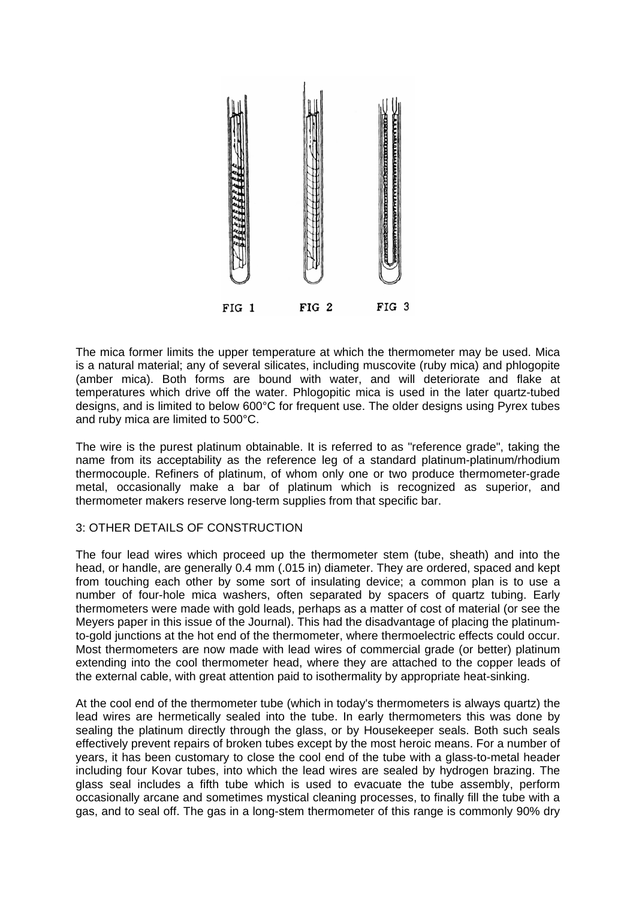

The mica former limits the upper temperature at which the thermometer may be used. Mica is a natural material; any of several silicates, including muscovite (ruby mica) and phlogopite (amber mica). Both forms are bound with water, and will deteriorate and flake at temperatures which drive off the water. Phlogopitic mica is used in the later quartz-tubed designs, and is limited to below 600°C for frequent use. The older designs using Pyrex tubes and ruby mica are limited to 500°C.

The wire is the purest platinum obtainable. It is referred to as "reference grade", taking the name from its acceptability as the reference leg of a standard platinum-platinum/rhodium thermocouple. Refiners of platinum, of whom only one or two produce thermometer-grade metal, occasionally make a bar of platinum which is recognized as superior, and thermometer makers reserve long-term supplies from that specific bar.

# 3: OTHER DETAILS OF CONSTRUCTION

The four lead wires which proceed up the thermometer stem (tube, sheath) and into the head, or handle, are generally 0.4 mm (.015 in) diameter. They are ordered, spaced and kept from touching each other by some sort of insulating device; a common plan is to use a number of four-hole mica washers, often separated by spacers of quartz tubing. Early thermometers were made with gold leads, perhaps as a matter of cost of material (or see the Meyers paper in this issue of the Journal). This had the disadvantage of placing the platinumto-gold junctions at the hot end of the thermometer, where thermoelectric effects could occur. Most thermometers are now made with lead wires of commercial grade (or better) platinum extending into the cool thermometer head, where they are attached to the copper leads of the external cable, with great attention paid to isothermality by appropriate heat-sinking.

At the cool end of the thermometer tube (which in today's thermometers is always quartz) the lead wires are hermetically sealed into the tube. In early thermometers this was done by sealing the platinum directly through the glass, or by Housekeeper seals. Both such seals effectively prevent repairs of broken tubes except by the most heroic means. For a number of years, it has been customary to close the cool end of the tube with a glass-to-metal header including four Kovar tubes, into which the lead wires are sealed by hydrogen brazing. The glass seal includes a fifth tube which is used to evacuate the tube assembly, perform occasionally arcane and sometimes mystical cleaning processes, to finally fill the tube with a gas, and to seal off. The gas in a long-stem thermometer of this range is commonly 90% dry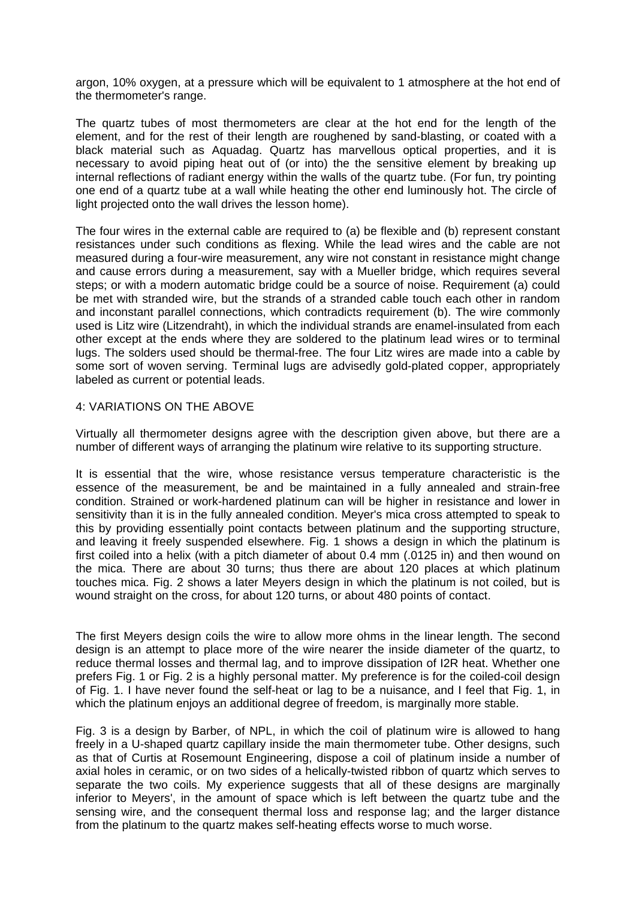argon, 10% oxygen, at a pressure which will be equivalent to 1 atmosphere at the hot end of the thermometer's range.

The quartz tubes of most thermometers are clear at the hot end for the length of the element, and for the rest of their length are roughened by sand-blasting, or coated with a black material such as Aquadag. Quartz has marvellous optical properties, and it is necessary to avoid piping heat out of (or into) the the sensitive element by breaking up internal reflections of radiant energy within the walls of the quartz tube. (For fun, try pointing one end of a quartz tube at a wall while heating the other end luminously hot. The circle of light projected onto the wall drives the lesson home).

The four wires in the external cable are required to (a) be flexible and (b) represent constant resistances under such conditions as flexing. While the lead wires and the cable are not measured during a four-wire measurement, any wire not constant in resistance might change and cause errors during a measurement, say with a Mueller bridge, which requires several steps; or with a modern automatic bridge could be a source of noise. Requirement (a) could be met with stranded wire, but the strands of a stranded cable touch each other in random and inconstant parallel connections, which contradicts requirement (b). The wire commonly used is Litz wire (Litzendraht), in which the individual strands are enamel-insulated from each other except at the ends where they are soldered to the platinum lead wires or to terminal lugs. The solders used should be thermal-free. The four Litz wires are made into a cable by some sort of woven serving. Terminal lugs are advisedly gold-plated copper, appropriately labeled as current or potential leads.

# 4: VARIATIONS ON THE ABOVE

Virtually all thermometer designs agree with the description given above, but there are a number of different ways of arranging the platinum wire relative to its supporting structure.

It is essential that the wire, whose resistance versus temperature characteristic is the essence of the measurement, be and be maintained in a fully annealed and strain-free condition. Strained or work-hardened platinum can will be higher in resistance and lower in sensitivity than it is in the fully annealed condition. Meyer's mica cross attempted to speak to this by providing essentially point contacts between platinum and the supporting structure, and leaving it freely suspended elsewhere. Fig. 1 shows a design in which the platinum is first coiled into a helix (with a pitch diameter of about 0.4 mm (.0125 in) and then wound on the mica. There are about 30 turns; thus there are about 120 places at which platinum touches mica. Fig. 2 shows a later Meyers design in which the platinum is not coiled, but is wound straight on the cross, for about 120 turns, or about 480 points of contact.

The first Meyers design coils the wire to allow more ohms in the linear length. The second design is an attempt to place more of the wire nearer the inside diameter of the quartz, to reduce thermal losses and thermal lag, and to improve dissipation of I2R heat. Whether one prefers Fig. 1 or Fig. 2 is a highly personal matter. My preference is for the coiled-coil design of Fig. 1. I have never found the self-heat or lag to be a nuisance, and I feel that Fig. 1, in which the platinum enjoys an additional degree of freedom, is marginally more stable.

Fig. 3 is a design by Barber, of NPL, in which the coil of platinum wire is allowed to hang freely in a U-shaped quartz capillary inside the main thermometer tube. Other designs, such as that of Curtis at Rosemount Engineering, dispose a coil of platinum inside a number of axial holes in ceramic, or on two sides of a helically-twisted ribbon of quartz which serves to separate the two coils. My experience suggests that all of these designs are marginally inferior to Meyers', in the amount of space which is left between the quartz tube and the sensing wire, and the consequent thermal loss and response lag; and the larger distance from the platinum to the quartz makes self-heating effects worse to much worse.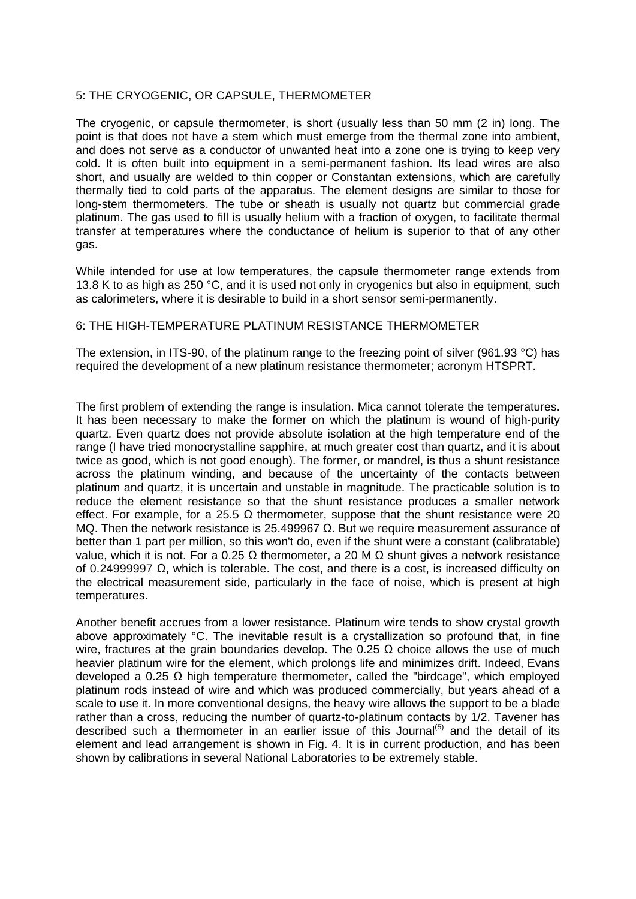# 5: THE CRYOGENIC, OR CAPSULE, THERMOMETER

The cryogenic, or capsule thermometer, is short (usually less than 50 mm (2 in) long. The point is that does not have a stem which must emerge from the thermal zone into ambient, and does not serve as a conductor of unwanted heat into a zone one is trying to keep very cold. It is often built into equipment in a semi-permanent fashion. Its lead wires are also short, and usually are welded to thin copper or Constantan extensions, which are carefully thermally tied to cold parts of the apparatus. The element designs are similar to those for long-stem thermometers. The tube or sheath is usually not quartz but commercial grade platinum. The gas used to fill is usually helium with a fraction of oxygen, to facilitate thermal transfer at temperatures where the conductance of helium is superior to that of any other gas.

While intended for use at low temperatures, the capsule thermometer range extends from 13.8 K to as high as 250 °C, and it is used not only in cryogenics but also in equipment, such as calorimeters, where it is desirable to build in a short sensor semi-permanently.

#### 6: THE HIGH-TEMPERATURE PLATINUM RESISTANCE THERMOMETER

The extension, in ITS-90, of the platinum range to the freezing point of silver (961.93 °C) has required the development of a new platinum resistance thermometer; acronym HTSPRT.

The first problem of extending the range is insulation. Mica cannot tolerate the temperatures. It has been necessary to make the former on which the platinum is wound of high-purity quartz. Even quartz does not provide absolute isolation at the high temperature end of the range (I have tried monocrystalline sapphire, at much greater cost than quartz, and it is about twice as good, which is not good enough). The former, or mandrel, is thus a shunt resistance across the platinum winding, and because of the uncertainty of the contacts between platinum and quartz, it is uncertain and unstable in magnitude. The practicable solution is to reduce the element resistance so that the shunt resistance produces a smaller network effect. For example, for a 25.5  $\Omega$  thermometer, suppose that the shunt resistance were 20 MQ. Then the network resistance is 25.499967  $Ω$ . But we require measurement assurance of better than 1 part per million, so this won't do, even if the shunt were a constant (calibratable) value, which it is not. For a 0.25 Ω thermometer, a 20 M  $\Omega$  shunt gives a network resistance of 0.24999997 Ω, which is tolerable. The cost, and there is a cost, is increased difficulty on the electrical measurement side, particularly in the face of noise, which is present at high temperatures.

Another benefit accrues from a lower resistance. Platinum wire tends to show crystal growth above approximately °C. The inevitable result is a crystallization so profound that, in fine wire, fractures at the grain boundaries develop. The 0.25  $\Omega$  choice allows the use of much heavier platinum wire for the element, which prolongs life and minimizes drift. Indeed, Evans developed a 0.25 Ω high temperature thermometer, called the "birdcage", which employed platinum rods instead of wire and which was produced commercially, but years ahead of a scale to use it. In more conventional designs, the heavy wire allows the support to be a blade rather than a cross, reducing the number of quartz-to-platinum contacts by 1/2. Tavener has described such a thermometer in an earlier issue of this Journal<sup>(5)</sup> and the detail of its element and lead arrangement is shown in Fig. 4. It is in current production, and has been shown by calibrations in several National Laboratories to be extremely stable.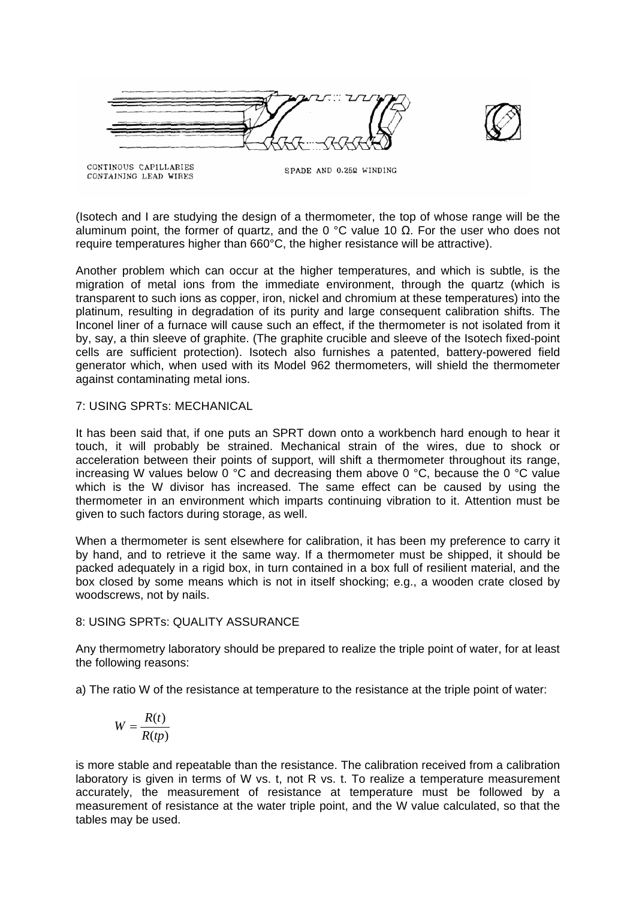



CONTINOUS CAPILLARIES CONTAINING LEAD WIRES

SPADE AND 0.252 WINDING

(Isotech and I are studying the design of a thermometer, the top of whose range will be the aluminum point, the former of quartz, and the 0 °C value 10  $\Omega$ . For the user who does not require temperatures higher than 660°C, the higher resistance will be attractive).

Another problem which can occur at the higher temperatures, and which is subtle, is the migration of metal ions from the immediate environment, through the quartz (which is transparent to such ions as copper, iron, nickel and chromium at these temperatures) into the platinum, resulting in degradation of its purity and large consequent calibration shifts. The Inconel liner of a furnace will cause such an effect, if the thermometer is not isolated from it by, say, a thin sleeve of graphite. (The graphite crucible and sleeve of the Isotech fixed-point cells are sufficient protection). Isotech also furnishes a patented, battery-powered field generator which, when used with its Model 962 thermometers, will shield the thermometer against contaminating metal ions.

## 7: USING SPRTs: MECHANICAL

It has been said that, if one puts an SPRT down onto a workbench hard enough to hear it touch, it will probably be strained. Mechanical strain of the wires, due to shock or acceleration between their points of support, will shift a thermometer throughout its range, increasing W values below 0  $^{\circ}$ C and decreasing them above 0  $^{\circ}$ C, because the 0  $^{\circ}$ C value which is the W divisor has increased. The same effect can be caused by using the thermometer in an environment which imparts continuing vibration to it. Attention must be given to such factors during storage, as well.

When a thermometer is sent elsewhere for calibration, it has been my preference to carry it by hand, and to retrieve it the same way. If a thermometer must be shipped, it should be packed adequately in a rigid box, in turn contained in a box full of resilient material, and the box closed by some means which is not in itself shocking; e.g., a wooden crate closed by woodscrews, not by nails.

#### 8: USING SPRTs: QUALITY ASSURANCE

Any thermometry laboratory should be prepared to realize the triple point of water, for at least the following reasons:

a) The ratio W of the resistance at temperature to the resistance at the triple point of water:

$$
W = \frac{R(t)}{R(tp)}
$$

is more stable and repeatable than the resistance. The calibration received from a calibration laboratory is given in terms of W vs. t, not R vs. t. To realize a temperature measurement accurately, the measurement of resistance at temperature must be followed by a measurement of resistance at the water triple point, and the W value calculated, so that the tables may be used.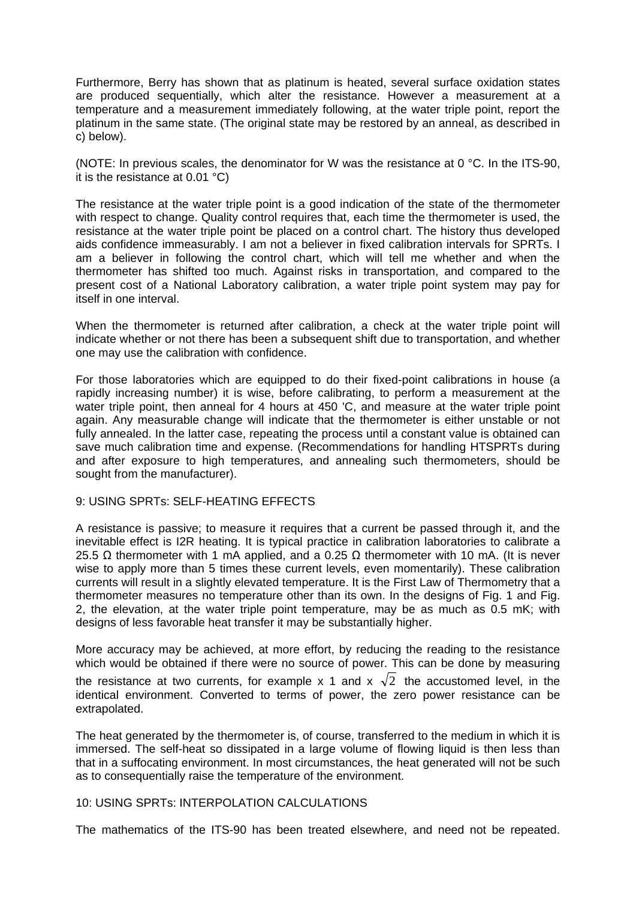Furthermore, Berry has shown that as platinum is heated, several surface oxidation states are produced sequentially, which alter the resistance. However a measurement at a temperature and a measurement immediately following, at the water triple point, report the platinum in the same state. (The original state may be restored by an anneal, as described in c) below).

(NOTE: In previous scales, the denominator for W was the resistance at 0 °C. In the ITS-90, it is the resistance at 0.01 °C)

The resistance at the water triple point is a good indication of the state of the thermometer with respect to change. Quality control requires that, each time the thermometer is used, the resistance at the water triple point be placed on a control chart. The history thus developed aids confidence immeasurably. I am not a believer in fixed calibration intervals for SPRTs. I am a believer in following the control chart, which will tell me whether and when the thermometer has shifted too much. Against risks in transportation, and compared to the present cost of a National Laboratory calibration, a water triple point system may pay for itself in one interval.

When the thermometer is returned after calibration, a check at the water triple point will indicate whether or not there has been a subsequent shift due to transportation, and whether one may use the calibration with confidence.

For those laboratories which are equipped to do their fixed-point calibrations in house (a rapidly increasing number) it is wise, before calibrating, to perform a measurement at the water triple point, then anneal for 4 hours at 450 'C, and measure at the water triple point again. Any measurable change will indicate that the thermometer is either unstable or not fully annealed. In the latter case, repeating the process until a constant value is obtained can save much calibration time and expense. (Recommendations for handling HTSPRTs during and after exposure to high temperatures, and annealing such thermometers, should be sought from the manufacturer).

#### 9: USING SPRTs: SELF-HEATING EFFECTS

A resistance is passive; to measure it requires that a current be passed through it, and the inevitable effect is I2R heating. It is typical practice in calibration laboratories to calibrate a 25.5 Ω thermometer with 1 mA applied, and a 0.25 Ω thermometer with 10 mA. (It is never wise to apply more than 5 times these current levels, even momentarily). These calibration currents will result in a slightly elevated temperature. It is the First Law of Thermometry that a thermometer measures no temperature other than its own. In the designs of Fig. 1 and Fig. 2, the elevation, at the water triple point temperature, may be as much as 0.5 mK; with designs of less favorable heat transfer it may be substantially higher.

More accuracy may be achieved, at more effort, by reducing the reading to the resistance which would be obtained if there were no source of power. This can be done by measuring the resistance at two currents, for example x 1 and x  $\sqrt{2}$  the accustomed level, in the identical environment. Converted to terms of power, the zero power resistance can be extrapolated.

The heat generated by the thermometer is, of course, transferred to the medium in which it is immersed. The self-heat so dissipated in a large volume of flowing liquid is then less than that in a suffocating environment. In most circumstances, the heat generated will not be such as to consequentially raise the temperature of the environment.

#### 10: USING SPRTs: INTERPOLATION CALCULATIONS

The mathematics of the ITS-90 has been treated elsewhere, and need not be repeated.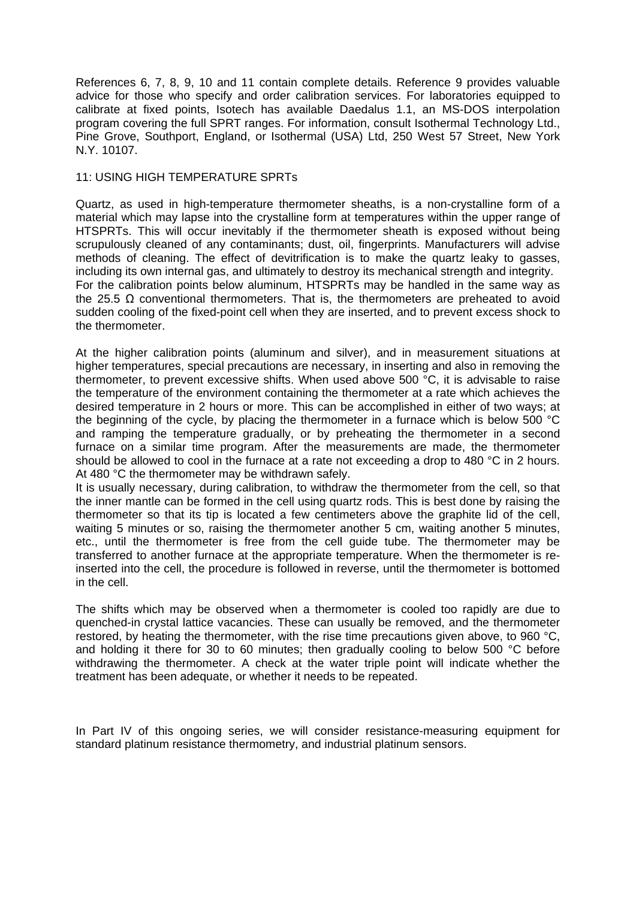References 6, 7, 8, 9, 10 and 11 contain complete details. Reference 9 provides valuable advice for those who specify and order calibration services. For laboratories equipped to calibrate at fixed points, Isotech has available Daedalus 1.1, an MS-DOS interpolation program covering the full SPRT ranges. For information, consult Isothermal Technology Ltd., Pine Grove, Southport, England, or Isothermal (USA) Ltd, 250 West 57 Street, New York N.Y. 10107.

### 11: USING HIGH TEMPERATURE SPRTs

Quartz, as used in high-temperature thermometer sheaths, is a non-crystalline form of a material which may lapse into the crystalline form at temperatures within the upper range of HTSPRTs. This will occur inevitably if the thermometer sheath is exposed without being scrupulously cleaned of any contaminants; dust, oil, fingerprints. Manufacturers will advise methods of cleaning. The effect of devitrification is to make the quartz leaky to gasses, including its own internal gas, and ultimately to destroy its mechanical strength and integrity. For the calibration points below aluminum, HTSPRTs may be handled in the same way as the 25.5 Ω conventional thermometers. That is, the thermometers are preheated to avoid sudden cooling of the fixed-point cell when they are inserted, and to prevent excess shock to the thermometer.

At the higher calibration points (aluminum and silver), and in measurement situations at higher temperatures, special precautions are necessary, in inserting and also in removing the thermometer, to prevent excessive shifts. When used above 500 °C, it is advisable to raise the temperature of the environment containing the thermometer at a rate which achieves the desired temperature in 2 hours or more. This can be accomplished in either of two ways; at the beginning of the cycle, by placing the thermometer in a furnace which is below 500 °C and ramping the temperature gradually, or by preheating the thermometer in a second furnace on a similar time program. After the measurements are made, the thermometer should be allowed to cool in the furnace at a rate not exceeding a drop to 480 °C in 2 hours. At 480 °C the thermometer may be withdrawn safely.

It is usually necessary, during calibration, to withdraw the thermometer from the cell, so that the inner mantle can be formed in the cell using quartz rods. This is best done by raising the thermometer so that its tip is located a few centimeters above the graphite lid of the cell, waiting 5 minutes or so, raising the thermometer another 5 cm, waiting another 5 minutes, etc., until the thermometer is free from the cell guide tube. The thermometer may be transferred to another furnace at the appropriate temperature. When the thermometer is reinserted into the cell, the procedure is followed in reverse, until the thermometer is bottomed in the cell.

The shifts which may be observed when a thermometer is cooled too rapidly are due to quenched-in crystal lattice vacancies. These can usually be removed, and the thermometer restored, by heating the thermometer, with the rise time precautions given above, to 960 °C, and holding it there for 30 to 60 minutes; then gradually cooling to below 500 °C before withdrawing the thermometer. A check at the water triple point will indicate whether the treatment has been adequate, or whether it needs to be repeated.

In Part IV of this ongoing series, we will consider resistance-measuring equipment for standard platinum resistance thermometry, and industrial platinum sensors.